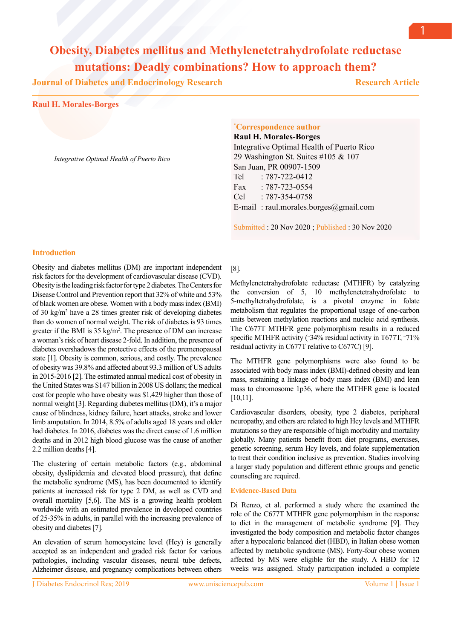**Journal of Diabetes and Endocrinology Research**

**Research Article**

1

### **Raul H. Morales-Borges**

*Integrative Optimal Health of Puerto Rico*

# **\* Correspondence author**

**Raul H. Morales-Borges** Integrative Optimal Health of Puerto Rico 29 Washington St. Suites #105 & 107 San Juan, PR 00907-1509 Tel : 787-722-0412 Fax : 787-723-0554 Cel : 787-354-0758 E-mail : raul.morales.borges@gmail.com

Submitted : 20 Nov 2020 ; Published : 30 Nov 2020

## **Introduction**

Obesity and diabetes mellitus (DM) are important independent risk factors for the development of cardiovascular disease (CVD). Obesity is the leading risk factor for type 2 diabetes. The Centers for Disease Control and Prevention report that 32% of white and 53% of black women are obese. Women with a body mass index (BMI) of 30 kg/m2 have a 28 times greater risk of developing diabetes than do women of normal weight. The risk of diabetes is 93 times greater if the BMI is 35 kg/m2 . The presence of DM can increase a woman's risk of heart disease 2-fold. In addition, the presence of diabetes overshadows the protective effects of the premenopausal state [1]. Obesity is common, serious, and costly. The prevalence of obesity was 39.8% and affected about 93.3 million of US adults in 2015-2016 [2]. The estimated annual medical cost of obesity in the United States was \$147 billion in 2008 US dollars; the medical cost for people who have obesity was \$1,429 higher than those of normal weight [3]. Regarding diabetes mellitus (DM), it's a major cause of blindness, kidney failure, heart attacks, stroke and lower limb amputation. In 2014, 8.5% of adults aged 18 years and older had diabetes. In 2016, diabetes was the direct cause of 1.6 million deaths and in 2012 high blood glucose was the cause of another 2.2 million deaths [4].

The clustering of certain metabolic factors (e.g., abdominal obesity, dyslipidemia and elevated blood pressure), that define the metabolic syndrome (MS), has been documented to identify patients at increased risk for type 2 DM, as well as CVD and overall mortality [5,6]. The MS is a growing health problem worldwide with an estimated prevalence in developed countries of 25-35% in adults, in parallel with the increasing prevalence of obesity and diabetes [7].

An elevation of serum homocysteine level (Hcy) is generally accepted as an independent and graded risk factor for various pathologies, including vascular diseases, neural tube defects, Alzheimer disease, and pregnancy complications between others

## [8].

Methylenetetrahydrofolate reductase (MTHFR) by catalyzing the conversion of 5, 10 methylenetetrahydrofolate to 5-methyltetrahydrofolate, is a pivotal enzyme in folate metabolism that regulates the proportional usage of one-carbon units between methylation reactions and nucleic acid synthesis. The C677T MTHFR gene polymorphism results in a reduced specific MTHFR activity (~34% residual activity in T677T, ~71% residual activity in C677T relative to C677C) [9].

The MTHFR gene polymorphisms were also found to be associated with body mass index (BMI)-defined obesity and lean mass, sustaining a linkage of body mass index (BMI) and lean mass to chromosome 1p36, where the MTHFR gene is located [10,11].

Cardiovascular disorders, obesity, type 2 diabetes, peripheral neuropathy, and others are related to high Hcy levels and MTHFR mutations so they are responsible of high morbidity and mortality globally. Many patients benefit from diet programs, exercises, genetic screening, serum Hcy levels, and folate supplementation to treat their condition inclusive as prevention. Studies involving a larger study population and different ethnic groups and genetic counseling are required.

### **Evidence-Based Data**

Di Renzo, et al. performed a study where the examined the role of the C677T MTHFR gene polymorphism in the response to diet in the management of metabolic syndrome [9]. They investigated the body composition and metabolic factor changes after a hypocaloric balanced diet (HBD), in Italian obese women affected by metabolic syndrome (MS). Forty-four obese women affected by MS were eligible for the study. A HBD for 12 weeks was assigned. Study participation included a complete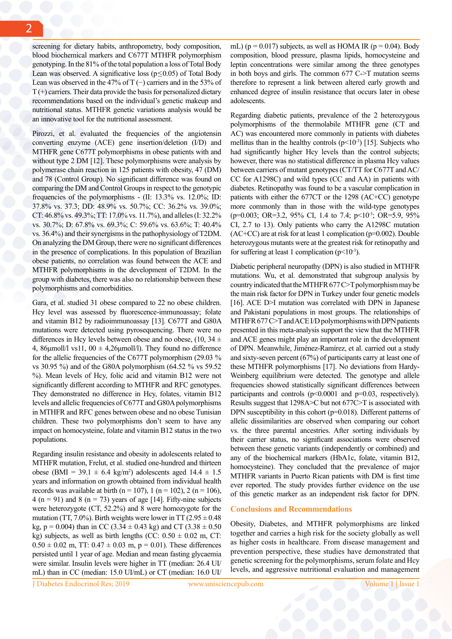screening for dietary habits, anthropometry, body composition, blood biochemical markers and C677T MTHFR polymorphism genotyping. In the 81% of the total population a loss of Total Body Lean was observed. A significative loss ( $p \le 0.05$ ) of Total Body Lean was observed in the 47% of T (−) carriers and in the 53% of  $T(+)$  carriers. Their data provide the basis for personalized dietary recommendations based on the individual's genetic makeup and nutritional status. MTHFR genetic variations analysis would be an innovative tool for the nutritional assessment.

Pirozzi, et al. evaluated the frequencies of the angiotensin converting enzyme (ACE) gene insertion/deletion (I/D) and MTHFR gene C677T polymorphisms in obese patients with and without type 2 DM [12]. These polymorphisms were analysis by polymerase chain reaction in 125 patients with obesity, 47 (DM) and 78 (Control Group). No significant difference was found on comparing the DM and Control Groups in respect to the genotypic frequencies of the polymorphisms - (II: 13.3% vs. 12.0%; ID: 37.8% vs. 37.3; DD: 48.9% vs. 50.7%; CC: 36.2% vs. 39.0%; CT: 46.8% vs. 49.3%; TT: 17.0% vs. 11.7%), and alleles (I: 32.2% vs. 30.7%; D: 67.8% vs. 69.3%; C: 59.6% vs. 63.6%; T: 40.4% vs. 36.4%) and their synergisms in the pathophysiology of T2DM. On analyzing the DM Group, there were no significant differences in the presence of complications. In this population of Brazilian obese patients, no correlation was found between the ACE and MTHFR polymorphisms in the development of T2DM. In the group with diabetes, there was also no relationship between these polymorphisms and comorbidities.

Gara, et al. studied 31 obese compared to 22 no obese children. Hcy level was assessed by fluorescence-immunoassay; folate and vitamin B12 by radioimmunoassay [13]. C677T and G80A mutations were detected using pyrosequencing. There were no differences in Hcy levels between obese and no obese,  $(10, 34 \pm 1)$ 4, 86 $\mu$ moll/l vs11, 00  $\pm$  4,26 $\mu$ moll/l). They found no difference for the allelic frequencies of the C677T polymorphism (29.03 % vs 30.95 %) and of the G80A polymorphism (64.52 % vs 59.52 %). Mean levels of Hcy, folic acid and vitamin B12 were not significantly different according to MTHFR and RFC genotypes. They demonstrated no difference in Hcy, folates, vitamin B12 levels and allelic frequencies of C677T and G80A polymorphisms in MTHFR and RFC genes between obese and no obese Tunisian children. These two polymorphisms don't seem to have any impact on homocysteine, folate and vitamin B12 status in the two populations.

Regarding insulin resistance and obesity in adolescents related to MTHFR mutation, Frelut, et al. studied one-hundred and thirteen obese (BMI = 39.1  $\pm$  6.4 kg/m<sup>2</sup>) adolescents aged 14.4  $\pm$  1.5 years and information on growth obtained from individual health records was available at birth (n = 107), 1 (n = 102), 2 (n = 106), 4 (n = 91) and 8 (n = 73) years of age [14]. Fifty-nine subjects were heterozygote (CT, 52.2%) and 8 were homozygote for the mutation (TT, 7.0%). Birth weights were lower in TT ( $2.95 \pm 0.48$ ) kg,  $p = 0.004$ ) than in CC (3.34  $\pm$  0.43 kg) and CT (3.38  $\pm$  0.50 kg) subjects, as well as birth lengths (CC:  $0.50 \pm 0.02$  m, CT:  $0.50 \pm 0.02$  m, TT:  $0.47 \pm 0.03$  m,  $p = 0.01$ ). These differences persisted until 1 year of age. Median and mean fasting glycaemia were similar. Insulin levels were higher in TT (median: 26.4 UI/ mL) than in CC (median: 15.0 UI/mL) or CT (median: 16.0 UI/

mL) ( $p = 0.017$ ) subjects, as well as HOMA IR ( $p = 0.04$ ). Body composition, blood pressure, plasma lipids, homocysteine and leptin concentrations were similar among the three genotypes in both boys and girls. The common  $677 \text{ C}$  >T mutation seems therefore to represent a link between altered early growth and enhanced degree of insulin resistance that occurs later in obese adolescents.

Regarding diabetic patients, prevalence of the 2 heterozygous polymorphisms of the thermolabile MTHFR gene (CT and AC) was encountered more commonly in patients with diabetes mellitus than in the healthy controls  $(p<10^{-3})$  [15]. Subjects who had significantly higher Hcy levels than the control subjects; however, there was no statistical difference in plasma Hcy values between carriers of mutant genotypes (CT/TT for C677T and AC/ CC for A1298C) and wild types (CC and AA) in patients with diabetes. Retinopathy was found to be a vascular complication in patients with either the 677CT or the 1298 (AC+CC) genotype more commonly than in those with the wild-type genotypes (p=0.003; OR=3.2, 95% CI, 1.4 to 7.4; p<10<sup>-3</sup>; OR=5.9, 95% CI, 2.7 to 13). Only patients who carry the A1298C mutation  $(AC+CC)$  are at risk for at least 1 complication ( $p=0.002$ ). Double heterozygous mutants were at the greatest risk for retinopathy and for suffering at least 1 complication  $(p<10^{-3})$ .

Diabetic peripheral neuropathy (DPN) is also studied in MTHFR mutations. Wu, et al. demonstrated that subgroup analysis by country indicated that the MTHFR 677 C>T polymorphism may be the main risk factor for DPN in Turkey under four genetic models [16]. ACE D>I mutation was correlated with DPN in Japanese and Pakistani populations in most groups. The relationships of MTHFR 677 C>T and ACE I/D polymorphisms with DPN patients presented in this meta-analysis support the view that the MTHFR and ACE genes might play an important role in the development of DPN. Meanwhile, Jiménez-Ramírez, et al. carried out a study and sixty-seven percent (67%) of participants carry at least one of these MTHFR polymorphisms [17]. No deviations from Hardy-Weinberg equilibrium were detected. The genotype and allele frequencies showed statistically significant differences between participants and controls (p<0.0001 and p=0.03, respectively). Results suggest that 1298A>C but not 677C>T is associated with DPN susceptibility in this cohort (p=0.018). Different patterns of allelic dissimilarities are observed when comparing our cohort vs. the three parental ancestries. After sorting individuals by their carrier status, no significant associations were observed between these genetic variants (independently or combined) and any of the biochemical markers (HbA1c, folate, vitamin B12, homocysteine). They concluded that the prevalence of major MTHFR variants in Puerto Rican patients with DM is first time ever reported. The study provides further evidence on the use of this genetic marker as an independent risk factor for DPN.

### **Conclusions and Recommendations**

Obesity, Diabetes, and MTHFR polymorphisms are linked together and carries a high risk for the society globally as well as higher costs in healthcare. From disease management and prevention perspective, these studies have demonstrated that genetic screening for the polymorphisms, serum folate and Hcy levels, and aggressive nutritional evaluation and management